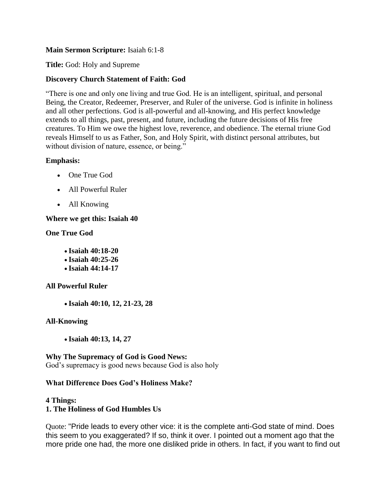#### **Main Sermon Scripture:** Isaiah 6:1-8

**Title:** God: Holy and Supreme

## **Discovery Church Statement of Faith: God**

"There is one and only one living and true God. He is an intelligent, spiritual, and personal Being, the Creator, Redeemer, Preserver, and Ruler of the universe. God is infinite in holiness and all other perfections. God is all-powerful and all-knowing, and His perfect knowledge extends to all things, past, present, and future, including the future decisions of His free creatures. To Him we owe the highest love, reverence, and obedience. The eternal triune God reveals Himself to us as Father, Son, and Holy Spirit, with distinct personal attributes, but without division of nature, essence, or being."

## **Emphasis:**

- One True God
- All Powerful Ruler
- All Knowing

## **Where we get this: Isaiah 40**

#### **One True God**

- **Isaiah 40:18-20**
- **Isaiah 40:25-26**
- **Isaiah 44:14-17**

# **All Powerful Ruler**

**Isaiah 40:10, 12, 21-23, 28**

# **All-Knowing**

**Isaiah 40:13, 14, 27**

# **Why The Supremacy of God is Good News:**

God's supremacy is good news because God is also holy

#### **What Difference Does God's Holiness Make?**

#### **4 Things:**

# **1. The Holiness of God Humbles Us**

Quote: "Pride leads to every other vice: it is the complete anti-God state of mind. Does this seem to you exaggerated? If so, think it over. I pointed out a moment ago that the more pride one had, the more one disliked pride in others. In fact, if you want to find out